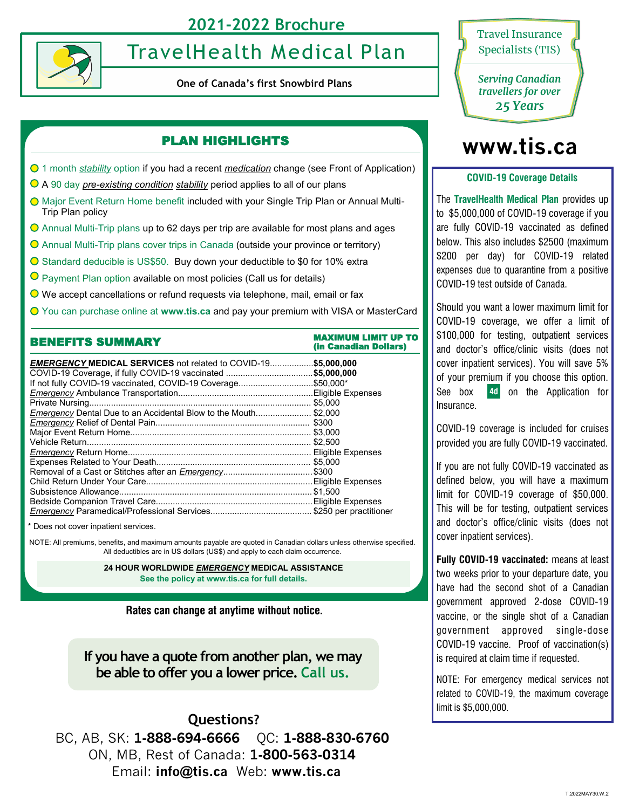# **2021-2022 Brochure**



# TravelHealth Medical Plan

**One of Canada's first Snowbird Plans**

# PLAN HIGHLIGHTS

- 1 month *stability* option if you had a recent *medication* change (see Front of Application)
- A 90 day *pre-existing condition stability* period applies to all of our plans
- Major Event Return Home benefit included with your Single Trip Plan or Annual Multi-Trip Plan policy
- Annual Multi-Trip plans up to 62 days per trip are available for most plans and ages
- Annual Multi-Trip plans cover trips in Canada (outside your province or territory)
- Standard deducible is US\$50. Buy down your deductible to \$0 for 10% extra
- **O** Payment Plan option available on most policies (Call us for details)
- We accept cancellations or refund requests via telephone, mail, email or fax
- You can purchase online at **www.tis.ca** and pay your premium with VISA or MasterCard

| <b>BENEFITS SUMMARY</b>                                               | MAXIMUM LIMIT UP TO<br>(in Canadian Dollars) |  |  |  |  |  |
|-----------------------------------------------------------------------|----------------------------------------------|--|--|--|--|--|
| <b>EMERGENCY MEDICAL SERVICES</b> not related to COVID-19\$5.000.000  |                                              |  |  |  |  |  |
| COVID-19 Coverage, if fully COVID-19 vaccinated \$5,000,000           |                                              |  |  |  |  |  |
| lf not fully COVID-19 vaccinated, COVID-19 Coverage\$50,000*          |                                              |  |  |  |  |  |
|                                                                       |                                              |  |  |  |  |  |
|                                                                       |                                              |  |  |  |  |  |
| <i>Emergency</i> Dental Due to an Accidental Blow to the Mouth\$2,000 |                                              |  |  |  |  |  |
|                                                                       |                                              |  |  |  |  |  |
|                                                                       |                                              |  |  |  |  |  |
|                                                                       |                                              |  |  |  |  |  |
|                                                                       |                                              |  |  |  |  |  |
|                                                                       |                                              |  |  |  |  |  |
| Removal of a Cast or Stitches after an <i>Emergency</i> \$300         |                                              |  |  |  |  |  |
|                                                                       |                                              |  |  |  |  |  |
|                                                                       |                                              |  |  |  |  |  |
|                                                                       |                                              |  |  |  |  |  |
|                                                                       |                                              |  |  |  |  |  |

\* Does not cover inpatient services.

NOTE: All premiums, benefits, and maximum amounts payable are quoted in Canadian dollars unless otherwise specified. All deductibles are in US dollars (US\$) and apply to each claim occurrence.

> **24 HOUR WORLDWIDE** *EMERGENCY* **MEDICAL ASSISTANCE See the policy at www.tis.ca for full details.**

**Rates can change at anytime without notice.**

**If you have a quote from another plan, we may be able to offer you a lower price. Call us.**

**Questions?**  BC, AB, SK: **1-888-694-6666** QC: **1-888-830-6760**  ON, MB, Rest of Canada: **1-800-563-0314**  Email: **info@tis.ca** Web: **www.tis.ca**



*Serving Canadian travellers for over 25 Years*

# **www.tis.ca**

#### **COVID-19 Coverage Details**

The **TravelHealth Medical Plan** provides up to \$5,000,000 of COVID-19 coverage if you are fully COVID-19 vaccinated as defined below. This also includes \$2500 (maximum \$200 per day) for COVID-19 related expenses due to quarantine from a positive COVID-19 test outside of Canada.

Should you want a lower maximum limit for COVID-19 coverage, we offer a limit of \$100,000 for testing, outpatient services and doctor's office/clinic visits (does not cover inpatient services). You will save 5% of your premium if you choose this option. See box 4d on the Application for **4d** Insurance.

COVID-19 coverage is included for cruises provided you are fully COVID-19 vaccinated.

If you are not fully COVID-19 vaccinated as defined below, you will have a maximum limit for COVID-19 coverage of \$50,000. This will be for testing, outpatient services and doctor's office/clinic visits (does not cover inpatient services).

**Fully COVID-19 vaccinated:** means at least two weeks prior to your departure date, you have had the second shot of a Canadian government approved 2-dose COVID-19 vaccine, or the single shot of a Canadian government approved single-dose COVID-19 vaccine. Proof of vaccination(s) is required at claim time if requested.

NOTE: For emergency medical services not related to COVID-19, the maximum coverage limit is \$5,000,000.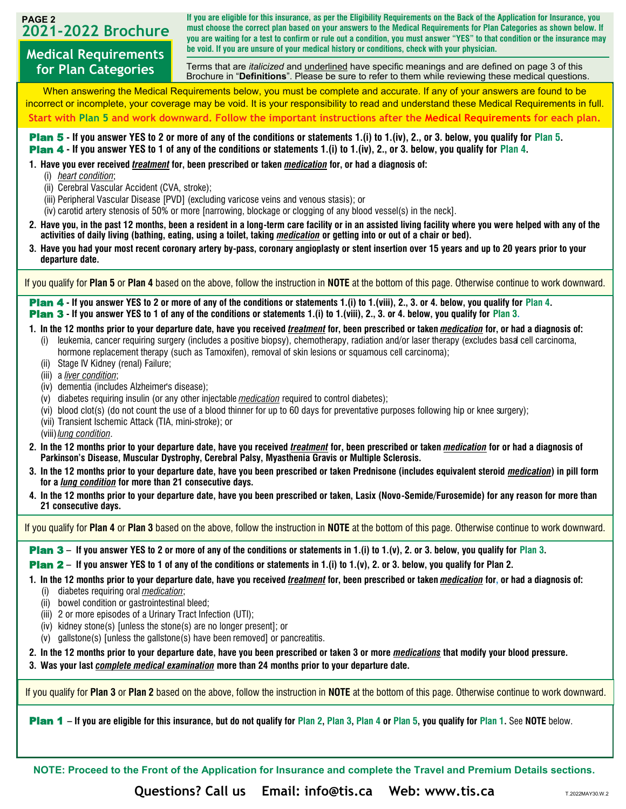# **2021-2022 Brochure**

**for Plan Categories**

**PAGE 2 If you are eligible for this insurance, as per the Eligibility Requirements on the Back of the Application for Insurance, you must choose the correct plan based on your answers to the Medical Requirements for Plan Categories as shown below. If you are waiting for a test to confirm or rule out a condition, you must answer "YES" to that condition or the insurance may be void. If you are unsure of your medical history or conditions, check with your physician.**

**Medical Requirements**  Terms that are *italicized* and underlined have specific meanings and are defined on page 3 of this Brochure in "**Definitions**". Please be sure to refer to them while reviewing these medical questions.

When answering the Medical Requirements below, you must be complete and accurate. If any of your answers are found to be incorrect or incomplete, your coverage may be void. It is your responsibility to read and understand these Medical Requirements in full. **Start with Plan 5 and work downward. Follow the important instructions after the Medical Requirements for each plan.**

Plan 5 **- If you answer YES to 2 or more of any of the conditions or statements 1.(i) to 1.(iv), 2., or 3. below, you qualify for Plan 5.**  Plan 4 **- If you answer YES to 1 of any of the conditions or statements 1.(i) to 1.(iv), 2., or 3. below, you qualify for Plan 4.**

**1. Have you ever received** *treatment* **for, been prescribed or taken** *medication* **for, or had a diagnosis of:**

- (i) *heart condition*;
- (ii) Cerebral Vascular Accident (CVA, stroke);
- (iii) Peripheral Vascular Disease [PVD] (excluding varicose veins and venous stasis); or
- (iv) carotid artery stenosis of 50% or more [narrowing, blockage or clogging of any blood vessel(s) in the neck].
- **2. Have you, in the past 12 months, been a resident in a long-term care facility or in an assisted living facility where you were helped with any of the activities of daily living (bathing, eating, using a toilet, taking** *medication* **or getting into or out of a chair or bed).**
- **3. Have you had your most recent coronary artery by-pass, coronary angioplasty or stent insertion over 15 years and up to 20 years prior to your departure date.**

If you qualify for **Plan 5** or **Plan 4** based on the above, follow the instruction in **NOTE** at the bottom of this page. Otherwise continue to work downward.

Plan 4 **- If you answer YES to 2 or more of any of the conditions or statements 1.(i) to 1.(viii), 2., 3. or 4. below, you qualify for Plan 4.** Plan 3 **- If you answer YES to 1 of any of the conditions or statements 1.(i) to 1.(viii), 2., 3. or 4. below, you qualify for Plan 3.**

## **1. In the 12 months prior to your departure date, have you received** *treatment* **for, been prescribed or taken** *medication* **for, or had a diagnosis of:**

- (i) leukemia, cancer requiring surgery (includes a positive biopsy), chemotherapy, radiation and/or laser therapy (excludes basal cell carcinoma, hormone replacement therapy (such as Tamoxifen), removal of skin lesions or squamous cell carcinoma);
- (ii) Stage IV Kidney (renal) Failure;
- (iii) a *liver condition*;
- (iv) dementia (includes Alzheimer's disease);
- (v) diabetes requiring insulin (or any other injectable *medication* required to control diabetes);
- (vi) blood clot(s) (do not count the use of a blood thinner for up to 60 days for preventative purposes following hip or knee surgery);
- (vii) Transient Ischemic Attack (TIA, mini-stroke); or
- (viii)*lung condition*.
- **2. In the 12 months prior to your departure date, have you received** *treatment* **for, been prescribed or taken** *medication* **for or had a diagnosis of Parkinson's Disease, Muscular Dystrophy, Cerebral Palsy, Myasthenia Gravis or Multiple Sclerosis.**
- **3. In the 12 months prior to your departure date, have you been prescribed or taken Prednisone (includes equivalent steroid** *medication***) in pill form for a** *lung condition* **for more than 21 consecutive days.**
- **4. In the 12 months prior to your departure date, have you been prescribed or taken, Lasix (Novo-Semide/Furosemide) for any reason for more than 21 consecutive days.**

If you qualify for **Plan 4** or **Plan 3** based on the above, follow the instruction in **NOTE** at the bottom of this page. Otherwise continue to work downward.

Plan 3 **– If you answer YES to 2 or more of any of the conditions or statements in 1.(i) to 1.(v), 2. or 3. below, you qualify for Plan 3.**

Plan 2 **– If you answer YES to 1 of any of the conditions or statements in 1.(i) to 1.(v), 2. or 3. below, you qualify for Plan 2.**

**1. In the 12 months prior to your departure date, have you received** *treatment* **for, been prescribed or taken** *medication* **for, or had a diagnosis of:** 

- (i) diabetes requiring oral *medication*;
- (ii) bowel condition or gastrointestinal bleed;
- (iii) 2 or more episodes of a Urinary Tract Infection (UTI);
- (iv) kidney stone(s) [unless the stone(s) are no longer present]; or
- (v) gallstone(s) [unless the gallstone(s) have been removed] or pancreatitis.

**2. In the 12 months prior to your departure date, have you been prescribed or taken 3 or more** *medications* **that modify your blood pressure.**

**3. Was your last** *complete medical examination* **more than 24 months prior to your departure date.**

If you qualify for **Plan 3** or **Plan 2** based on the above, follow the instruction in **NOTE** at the bottom of this page. Otherwise continue to work downward.

Plan 1 **– If you are eligible for this insurance, but do not qualify for Plan 2, Plan 3, Plan 4 or Plan 5, you qualify for Plan 1.** See **NOTE** below.

**NOTE: Proceed to the Front of the Application for Insurance and complete the Travel and Premium Details sections.**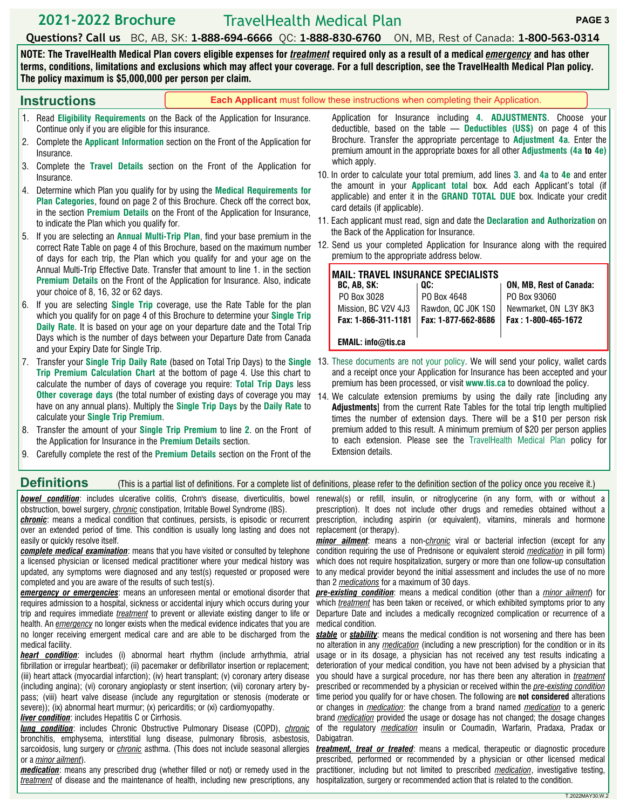## **2021-2022 Brochure** TravelHealth Medical Plan **PAGE 3**

**Questions? Call us** BC, AB, SK: **1-888-694-6666** QC: **1-888-830-6760** ON, MB, Rest of Canada: **1-800-563-0314** 

**NOTE: The TravelHealth Medical Plan covers eligible expenses for** *treatment* **required only as a result of a medical** *emergency* **and has other terms, conditions, limitations and exclusions which may affect your coverage. For a full description, see the TravelHealth Medical Plan policy. The policy maximum is \$5,000,000 per person per claim.** 

|    | <b>Instructions</b>                                                                    | <b>Each Applicant</b> must follow these instructions when completing their Application.                                                                                                                                                             |                                                                                                                                                                                                                                                                                        |                                                                                                                                                                         |                                           |                                                                                                                                                                                                                                                                                                                        |  |  |  |
|----|----------------------------------------------------------------------------------------|-----------------------------------------------------------------------------------------------------------------------------------------------------------------------------------------------------------------------------------------------------|----------------------------------------------------------------------------------------------------------------------------------------------------------------------------------------------------------------------------------------------------------------------------------------|-------------------------------------------------------------------------------------------------------------------------------------------------------------------------|-------------------------------------------|------------------------------------------------------------------------------------------------------------------------------------------------------------------------------------------------------------------------------------------------------------------------------------------------------------------------|--|--|--|
|    | Continue only if you are eligible for this insurance.<br>2.<br>Insurance.              | Read Eligibility Requirements on the Back of the Application for Insurance.<br>Complete the <b>Applicant Information</b> section on the Front of the Application for                                                                                |                                                                                                                                                                                                                                                                                        |                                                                                                                                                                         |                                           | Application for Insurance including 4. ADJUSTMENTS. Choose your<br>deductible, based on the table $-$ Deductibles (US\$) on page 4 of this<br>Brochure. Transfer the appropriate percentage to <b>Adjustment 4a</b> . Enter the<br>premium amount in the appropriate boxes for all other <b>Adjustments</b> (4a to 4e) |  |  |  |
|    | 3.<br>Insurance.                                                                       | Complete the Travel Details section on the Front of the Application for                                                                                                                                                                             | which apply.<br>10. In order to calculate your total premium, add lines 3. and 4a to 4e and enter                                                                                                                                                                                      |                                                                                                                                                                         |                                           |                                                                                                                                                                                                                                                                                                                        |  |  |  |
|    | 4.<br>to indicate the Plan which you qualify for.                                      | Determine which Plan you qualify for by using the Medical Requirements for<br>Plan Categories, found on page 2 of this Brochure. Check off the correct box,<br>in the section <b>Premium Details</b> on the Front of the Application for Insurance, | the amount in your <b>Applicant total</b> box. Add each Applicant's total (if<br>applicable) and enter it in the <b>GRAND TOTAL DUE</b> box. Indicate your credit<br>card details (if applicable).<br>11. Each applicant must read, sign and date the Declaration and Authorization on |                                                                                                                                                                         |                                           |                                                                                                                                                                                                                                                                                                                        |  |  |  |
|    | 5.                                                                                     | If you are selecting an Annual Multi-Trip Plan, find your base premium in the<br>correct Rate Table on page 4 of this Brochure, based on the maximum number<br>of days for each trip, the Plan which you qualify for and your age on the            |                                                                                                                                                                                                                                                                                        | the Back of the Application for Insurance.<br>12. Send us your completed Application for Insurance along with the required<br>premium to the appropriate address below. |                                           |                                                                                                                                                                                                                                                                                                                        |  |  |  |
|    | your choice of 8, 16, 32 or 62 days.                                                   | Annual Multi-Trip Effective Date. Transfer that amount to line 1. in the section<br><b>Premium Details on the Front of the Application for Insurance. Also, indicate</b>                                                                            |                                                                                                                                                                                                                                                                                        | <b>MAIL: TRAVEL INSURANCE SPECIALISTS</b><br>BC, AB, SK:<br>PO Box 3028                                                                                                 | OC:<br>PO Box 4648                        | <b>ON, MB, Rest of Canada:</b><br>PO Box 93060                                                                                                                                                                                                                                                                         |  |  |  |
|    | 6.                                                                                     | If you are selecting Single Trip coverage, use the Rate Table for the plan<br>which you qualify for on page 4 of this Brochure to determine your Single Trip<br>Daily Rate. It is based on your age on your departure date and the Total Trip       |                                                                                                                                                                                                                                                                                        | Mission, BC V2V 4J3<br>Fax: 1-866-311-1181                                                                                                                              | Rawdon, QC J0K 1S0<br>Fax: 1-877-662-8686 | Newmarket, ON L3Y 8K3<br>Fax: 1-800-465-1672                                                                                                                                                                                                                                                                           |  |  |  |
|    | and your Expiry Date for Single Trip.                                                  | Days which is the number of days between your Departure Date from Canada                                                                                                                                                                            |                                                                                                                                                                                                                                                                                        | EMAIL: info@tis.ca                                                                                                                                                      |                                           |                                                                                                                                                                                                                                                                                                                        |  |  |  |
| 7. |                                                                                        | Transfer your Single Trip Daily Rate (based on Total Trip Days) to the Single<br>Trip Premium Calculation Chart at the bottom of page 4. Use this chart to<br>calculate the number of days of coverage you require: Total Trip Days less            |                                                                                                                                                                                                                                                                                        | 13. These documents are not your policy. We will send your policy, wallet cards                                                                                         |                                           | and a receipt once your Application for Insurance has been accepted and your<br>premium has been processed, or visit www.tis.ca to download the policy.                                                                                                                                                                |  |  |  |
|    | calculate your Single Trip Premium.                                                    | Other coverage days (the total number of existing days of coverage you may<br>have on any annual plans). Multiply the Single Trip Days by the Daily Rate to                                                                                         |                                                                                                                                                                                                                                                                                        | 14. We calculate extension premiums by using the daily rate fincluding any                                                                                              |                                           | Adjustments] from the current Rate Tables for the total trip length multiplied<br>times the number of extension days. There will be a \$10 per person risk                                                                                                                                                             |  |  |  |
|    | 8.<br>the Application for Insurance in the <b>Premium Details</b> section.<br>$\Omega$ | Transfer the amount of your Single Trip Premium to line 2. on the Front of<br>Corofully complete the rest of the Dramium Details coefier on the Frant of the                                                                                        |                                                                                                                                                                                                                                                                                        | <b>Extension details.</b>                                                                                                                                               |                                           | premium added to this result. A minimum premium of \$20 per person applies<br>to each extension. Please see the TravelHealth Medical Plan policy for                                                                                                                                                                   |  |  |  |

9. Carefully complete the rest of the **Premium Details** section on the Front of the

# **Definitions** (This is a partial list of definitions. For a complete list of definitions, please refer to the definition section of the policy once you receive it.)

obstruction, bowel surgery, *chronic* constipation, Irritable Bowel Syndrome (IBS).

*chronic*: means a medical condition that continues, persists, is episodic or recurrent over an extended period of time. This condition is usually long lasting and does not easily or quickly resolve itself.

*complete medical examination*: means that you have visited or consulted by telephone a licensed physician or licensed medical practitioner where your medical history was updated, any symptoms were diagnosed and any test(s) requested or proposed were completed and you are aware of the results of such test(s).

*emergency or emergencies*: means an unforeseen mental or emotional disorder that requires admission to a hospital, sickness or accidental injury which occurs during your trip and requires immediate *treatment* to prevent or alleviate existing danger to life or health. An *emergency* no longer exists when the medical evidence indicates that you are no longer receiving emergent medical care and are able to be discharged from the medical facility.

*heart condition*: includes (i) abnormal heart rhythm (include arrhythmia, atrial fibrillation or irregular heartbeat); (ii) pacemaker or defibrillator insertion or replacement; (iii) heart attack (myocardial infarction); (iv) heart transplant; (v) coronary artery disease (including angina); (vi) coronary angioplasty or stent insertion; (vii) coronary artery bypass; (viii) heart valve disease (include any regurgitation or stenosis (moderate or severe)); (ix) abnormal heart murmur; (x) pericarditis; or (xi) cardiomyopathy.

#### *liver condition*: includes Hepatitis C or Cirrhosis.

*lung condition*: includes Chronic Obstructive Pulmonary Disease (COPD), *chronic* bronchitis, emphysema, interstitial lung disease, pulmonary fibrosis, asbestosis, sarcoidosis, lung surgery or *chronic* asthma. (This does not include seasonal allergies or a *minor ailment*).

*medication*: means any prescribed drug (whether filled or not) or remedy used in the treatment of disease and the maintenance of health, including new prescriptions, any hospitalization, surgery or recommended action that is related to the condition.

*bowel condition*: includes ulcerative colitis, Crohn's disease, diverticulitis, bowel renewal(s) or refill, insulin, or nitroglycerine (in any form, with or without a prescription). It does not include other drugs and remedies obtained without a prescription, including aspirin (or equivalent), vitamins, minerals and hormone replacement (or therapy).

> *minor ailment*: means a non-*chronic* viral or bacterial infection (except for any condition requiring the use of Prednisone or equivalent steroid *medication* in pill form) which does not require hospitalization, surgery or more than one follow-up consultation to any medical provider beyond the initial assessment and includes the use of no more than 2 *medications* for a maximum of 30 days.

> *pre-existing condition*: means a medical condition (other than a *minor ailment*) for which *treatment* has been taken or received, or which exhibited symptoms prior to any Departure Date and includes a medically recognized complication or recurrence of a medical condition.

> *stable* or *stability*: means the medical condition is not worsening and there has been no alteration in any *medication* (including a new prescription) for the condition or in its usage or in its dosage, a physician has not received any test results indicating a deterioration of your medical condition, you have not been advised by a physician that you should have a surgical procedure, nor has there been any alteration in *treatment* prescribed or recommended by a physician or received within the *pre-existing condition* time period you qualify for or have chosen. The following are **not considered** alterations or changes in *medication*: the change from a brand named *medication* to a generic brand *medication* provided the usage or dosage has not changed; the dosage changes of the regulatory *medication* insulin or Coumadin, Warfarin, Pradaxa, Pradax or Dabigatran.

> *treatment, treat or treated*: means a medical, therapeutic or diagnostic procedure prescribed, performed or recommended by a physician or other licensed medical practitioner, including but not limited to prescribed *medication*, investigative testing,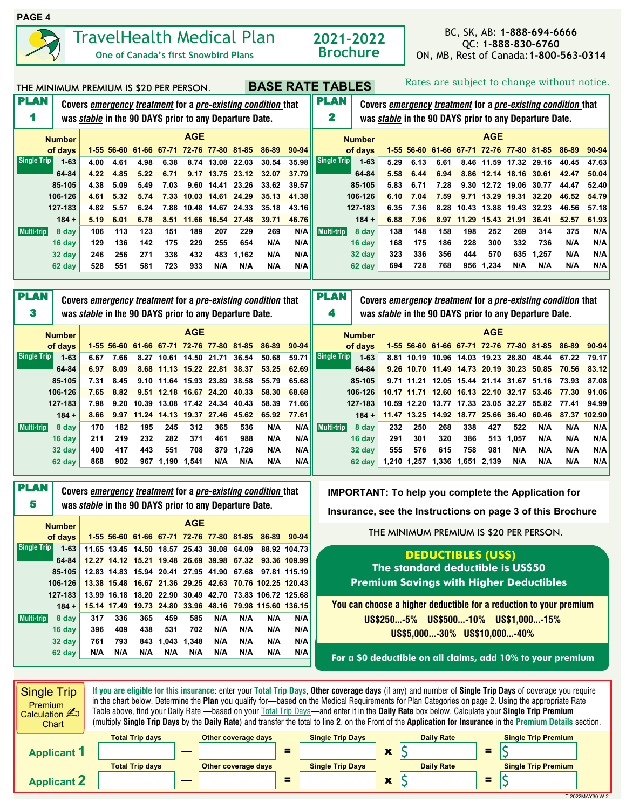

PLAN 5

**Single Trip** 

**Multi-trip**

**Covers** *emergency treatment* **for a** *pre-existing condition* **that was** *stable* **in the 90 DAYS prior to any Departure Date.**

**32 day 400 417 443 551 708 879 1,726 N/A N/A 62 day 868 902 967 1,190 1,541 N/A N/A N/A N/A**

of days 1-55 56-60 61-66 67-71 72-76 77-80 81-85 86-89 90-94 **1-63 11.65 13.45 14.50 18.57 25.43 38.08 64.09 88.92 104.73 64-84 12.27 14.12 15.21 19.48 26.69 39.98 67.32 93.36 109.99 85-105 12.83 14.83 15.94 20.41 27.95 41.90 67.68 97.81 115.19 106-126 13.38 15.48 16.67 21.36 29.25 42.63 70.76 102.25 120.43 127-183 13.99 16.18 18.20 22.90 30.49 42.70 73.83 106.72 125.68 184 + 15.14 17.49 19.73 24.80 33.96 48.16 79.98 115.60 136.15 8 day 317 336 365 459 585 N/A N/A N/A N/A 16 day 396 409 438 531 702 N/A N/A N/A N/A 32 day 761 793 843 1,043 1,348 N/A N/A N/A N/A 62 day N/A N/A N/A N/A N/A N/A N/A N/A N/A**

 **Number AGE**

# THE MINIMUM PREMIUM IS \$20 PER PERSON. **BASE RATE TABLES** Rates are subject to change without notice.

| <b>PLAN</b>        | Covers emergency treatment for a pre-existing condition that |      |                  |       |       |                   |                               | <b>PLAN</b>                                                   |                                                              |       |             |                          |                                                               |                         |             |       | Covers emergency treatment for a pre-existing condition that |                                          |       |                                                              |        |
|--------------------|--------------------------------------------------------------|------|------------------|-------|-------|-------------------|-------------------------------|---------------------------------------------------------------|--------------------------------------------------------------|-------|-------------|--------------------------|---------------------------------------------------------------|-------------------------|-------------|-------|--------------------------------------------------------------|------------------------------------------|-------|--------------------------------------------------------------|--------|
|                    |                                                              |      |                  |       |       |                   |                               | was <i>stable</i> in the 90 DAYS prior to any Departure Date. |                                                              |       | 2           |                          | was <i>stable</i> in the 90 DAYS prior to any Departure Date. |                         |             |       |                                                              |                                          |       |                                                              |        |
|                    | <b>AGE</b>                                                   |      |                  |       |       |                   |                               |                                                               |                                                              |       |             |                          |                                                               | <b>AGE</b>              |             |       |                                                              |                                          |       |                                                              |        |
|                    | <b>Number</b><br>of days                                     |      | 1-55 56-60 61-66 |       | 67-71 |                   |                               | 72-76 77-80 81-85                                             | 86-89                                                        | 90-94 |             | <b>Number</b><br>of days |                                                               | $1-55$ 56-60            |             |       |                                                              | 61-66 67-71 72-76 77-80 81-85            |       | 86-89                                                        | 90-94  |
| Single Trip        | $1 - 63$                                                     | 4.00 | 4.61             | 4.98  | 6.38  | 8.74              | 13.08                         | 22.03                                                         | 30.54                                                        | 35.98 | Single Trip | $1 - 63$                 | 5.29                                                          | 6.13                    | 6.61        | 8.46  | 11.59                                                        | 17.32                                    | 29.16 | 40.45                                                        | 47.63  |
|                    | 64-84                                                        | 4.22 | 4.85             | 5.22  | 6.71  | 9.17              |                               | 13.75 23.12                                                   | 32.07                                                        | 37.79 |             | 64-84                    | 5.58                                                          | 6.44                    | 6.94        | 8.86  |                                                              | 12.14 18.16                              | 30.61 | 42.47                                                        | 50.04  |
|                    | 85-105                                                       | 4.38 | 5.09             | 5.49  | 7.03  | 9.60              | 14.41                         | 23.26                                                         | 33.62                                                        | 39.57 |             | 85-105                   | 5.83                                                          | 6.71                    | 7.28        | 9.30  | 12.72                                                        | 19.06                                    | 30.77 | 44.47                                                        | 52.40  |
|                    | 106-126                                                      | 4.61 | 5.32             | 5.74  | 7.33  | 10.03             | 14.61                         | 24.29                                                         | 35.13                                                        | 41.38 |             | 106-126                  | 6.10                                                          | 7.04                    | 7.59        | 9.71  | 13.29                                                        | 19.31                                    | 32.20 | 46.52                                                        | 54.79  |
|                    | 127-183                                                      | 4.82 | 5.57             | 6.24  | 7.88  | 10.48             | 14.67                         | 24.33                                                         | 35.18                                                        | 43.16 |             | 127-183                  | 6.35                                                          | 7.36                    | 8.28        | 10.43 | 13.88                                                        | 19.43                                    | 32.23 | 46.56                                                        | 57.18  |
|                    | $184 +$                                                      | 5.19 | 6.01             | 6.78  |       | 8.51 11.66        |                               | 16.54 27.48                                                   | 39.71                                                        | 46.76 |             | $184 +$                  | 6.88                                                          | 7.96                    | 8.97        | 11.29 | 15.43                                                        | 21.91                                    | 36.41 | 52.57                                                        | 61.93  |
| Multi-trip         | 8 day                                                        | 106  | 113              | 123   | 151   | 189               | 207                           | 229                                                           | 269                                                          | N/A   | Multi-trip  | 8 day                    | 138                                                           | 148                     | 158         | 198   | 252                                                          | 269                                      | 314   | 375                                                          | N/A    |
|                    | 16 day                                                       | 129  | 136              | 142   | 175   | 229               | 255                           | 654                                                           | N/A                                                          | N/A   |             | 16 day                   | 168                                                           | 175                     | 186         | 228   | 300                                                          | 332                                      | 736   | N/A                                                          | N/A    |
|                    | 32 day                                                       | 246  | 256              | 271   | 338   | 432               | 483                           | 1.162                                                         | N/A                                                          | N/A   |             | 32 day                   | 323                                                           | 336                     | 356         | 444   | 570                                                          | 635                                      | 1.257 | N/A                                                          | N/A    |
|                    | 62 day                                                       | 528  | 551              | 581   | 723   | 933               | N/A                           | N/A                                                           | N/A                                                          | N/A   |             | 62 day                   | 694                                                           | 728                     | 768         | 956   | 1,234                                                        | N/A                                      | N/A   | N/A                                                          | N/A    |
|                    |                                                              |      |                  |       |       |                   |                               |                                                               |                                                              |       |             |                          |                                                               |                         |             |       |                                                              |                                          |       |                                                              |        |
| <b>PLAN</b>        |                                                              |      |                  |       |       |                   |                               |                                                               |                                                              |       | <b>PLAN</b> |                          |                                                               |                         |             |       |                                                              |                                          |       |                                                              |        |
|                    |                                                              |      |                  |       |       |                   |                               |                                                               | Covers emergency treatment for a pre-existing condition that |       |             |                          |                                                               |                         |             |       |                                                              |                                          |       | Covers emergency treatment for a pre-existing condition that |        |
| 3                  |                                                              |      |                  |       |       |                   |                               | was stable in the 90 DAYS prior to any Departure Date.        |                                                              |       | 4           |                          | was <i>stable</i> in the 90 DAYS prior to any Departure Date. |                         |             |       |                                                              |                                          |       |                                                              |        |
|                    | <b>Number</b>                                                |      |                  |       |       | <b>AGE</b>        |                               |                                                               |                                                              |       |             | <b>Number</b>            |                                                               |                         |             |       | <b>AGE</b>                                                   |                                          |       |                                                              |        |
|                    | of days                                                      |      | 1-55 56-60       |       |       |                   | 61-66 67-71 72-76 77-80 81-85 |                                                               | 86-89                                                        | 90-94 |             | of days                  |                                                               |                         |             |       |                                                              | 1-55 56-60 61-66 67-71 72-76 77-80 81-85 |       | 86-89                                                        | 90-94  |
| <b>Single Trip</b> | $1 - 63$                                                     | 6.67 | 7.66             | 8.27  |       | 10.61 14.50       | 21.71                         | 36.54                                                         | 50.68                                                        | 59.71 | Single Trip | $1 - 63$                 |                                                               |                         |             |       |                                                              | 8.81 10.19 10.96 14.03 19.23 28.80       | 48.44 | 67.22                                                        | 79.17  |
|                    | 64-84                                                        | 6.97 | 8.09             | 8.68  |       | 11.13 15.22 22.81 |                               | 38.37                                                         | 53.25                                                        | 62.69 |             | 64-84                    |                                                               | 9.26 10.70              | 11.49 14.73 |       |                                                              | 20.19 30.23                              | 50.85 | 70.56                                                        | 83.12  |
|                    | 85-105                                                       | 7.31 | 8.45             | 9.10  |       | 11.64 15.93       | 23.89                         | 38.58                                                         | 55.79                                                        | 65.68 |             | 85-105                   |                                                               | 9.71 11.21              | 12.05 15.44 |       | 21.14 31.67                                                  |                                          | 51.16 | 73.93                                                        | 87.08  |
|                    | 106-126                                                      | 7.65 | 8.82             | 9.51  |       | 12.18 16.67       |                               | 24.20 40.33                                                   | 58.30                                                        | 68.68 |             | 106-126                  | 10.17                                                         | 11.71                   | 12.60       | 16.13 | 22.10                                                        | 32.17                                    | 53.46 | 77.30                                                        | 91.06  |
|                    | 127-183                                                      | 7.98 | 9.20             | 10.39 |       |                   | 13.08 17.42 24.34 40.43       |                                                               | 58.39                                                        | 71.66 |             | 127-183                  |                                                               | 10.59 12.20 13.77 17.33 |             |       | 23.05 32.27                                                  |                                          | 55.82 | 77.41                                                        | 94.99  |
|                    | $184 +$                                                      | 8.66 | 9.97             | 11.24 |       | 14.13 19.37       |                               | 27.46 45.62                                                   | 65.92                                                        | 77.61 |             | $184 +$                  | 11.47                                                         | 13.25                   | 14.92 18.77 |       | 25.66                                                        | 36.40                                    | 60.46 | 87.37                                                        | 102.90 |
| Multi-trip         | 8 day                                                        | 170  | 182              | 195   | 245   | 312               | 365                           | 536                                                           | N/A                                                          | N/A   | Multi-trip  | 8 day                    | 232                                                           | 250                     | 268         | 338   | 427                                                          | 522                                      | N/A   | N/A                                                          | N/A    |
|                    | 16 day                                                       | 211  | 219              | 232   | 282   | 371               | 461                           | 988                                                           | N/A                                                          | N/A   |             | 16 day                   | 291                                                           | 301                     | 320         | 386   | 513                                                          | 1.057                                    | N/A   | N/A                                                          | N/A    |

**IMPORTANT: To help you complete the Application for Insurance, see the Instructions on page 3 of this Brochure**

THE MINIMUM PREMIUM IS \$20 PER PERSON.

**32 day 555 576 615 758 981 N/A N/A N/A N/A 62 day 1,210 1,257 1,336 1,651 2,139 N/A N/A N/A N/A**

## **DEDUCTIBLES (US\$) The standard deductible is US\$50 Premium Savings with Higher Deductibles**

**You can choose a higher deductible for a reduction to your premium US\$250...-5% US\$500...-10% US\$1,000...-15% US\$5,000...-30% US\$10,000...-40%**

**For a \$0 deductible on all claims, add 10% to your premium** 

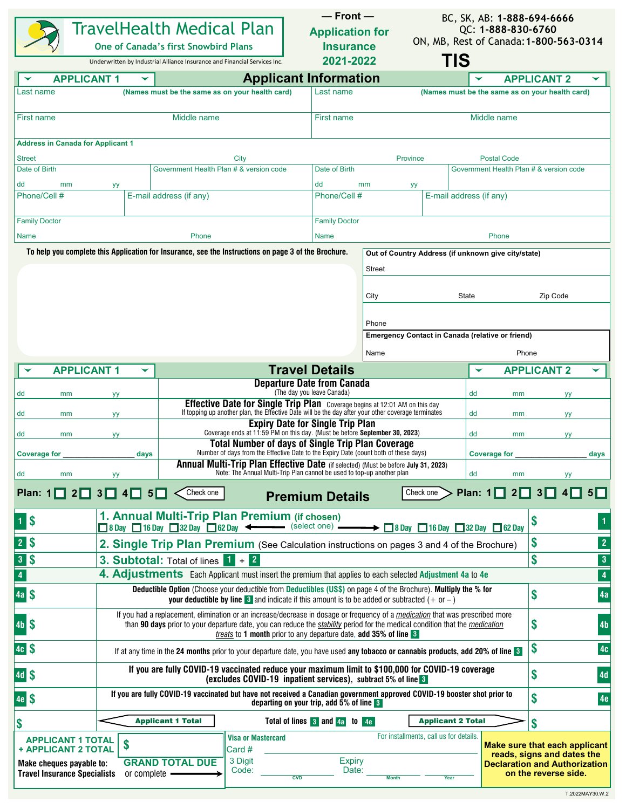|                                                                                                                    |                                                                                                                                                                                                                                                                                                                                                          | TravelHealth Medical Plan<br><b>One of Canada's first Snowbird Plans</b><br>Underwritten by Industrial Alliance Insurance and Financial Services Inc.                                                                                      |                                                                                                                                                                                                | $-$ Front $-$<br><b>Application for</b><br><b>Insurance</b><br>2021-2022 |                 | BC, SK, AB: 1-888-694-6666<br>QC: 1-888-830-6760<br>ON, MB, Rest of Canada: 1-800-563-0314 |                                                         |                                                                                                                             |                         |  |  |  |
|--------------------------------------------------------------------------------------------------------------------|----------------------------------------------------------------------------------------------------------------------------------------------------------------------------------------------------------------------------------------------------------------------------------------------------------------------------------------------------------|--------------------------------------------------------------------------------------------------------------------------------------------------------------------------------------------------------------------------------------------|------------------------------------------------------------------------------------------------------------------------------------------------------------------------------------------------|--------------------------------------------------------------------------|-----------------|--------------------------------------------------------------------------------------------|---------------------------------------------------------|-----------------------------------------------------------------------------------------------------------------------------|-------------------------|--|--|--|
| <b>APPLICANT 1</b>                                                                                                 |                                                                                                                                                                                                                                                                                                                                                          |                                                                                                                                                                                                                                            | <b>Applicant Information</b>                                                                                                                                                                   |                                                                          |                 | TIS                                                                                        |                                                         | <b>APPLICANT 2</b>                                                                                                          |                         |  |  |  |
| Last name                                                                                                          |                                                                                                                                                                                                                                                                                                                                                          | (Names must be the same as on your health card)                                                                                                                                                                                            |                                                                                                                                                                                                | Last name                                                                |                 |                                                                                            |                                                         | (Names must be the same as on your health card)                                                                             |                         |  |  |  |
| <b>First name</b>                                                                                                  |                                                                                                                                                                                                                                                                                                                                                          | Middle name                                                                                                                                                                                                                                |                                                                                                                                                                                                | Middle name                                                              |                 |                                                                                            |                                                         |                                                                                                                             |                         |  |  |  |
| <b>Address in Canada for Applicant 1</b><br><b>Street</b>                                                          |                                                                                                                                                                                                                                                                                                                                                          |                                                                                                                                                                                                                                            | City                                                                                                                                                                                           |                                                                          | <b>Province</b> |                                                                                            | <b>Postal Code</b>                                      |                                                                                                                             |                         |  |  |  |
| Date of Birth                                                                                                      |                                                                                                                                                                                                                                                                                                                                                          | Government Health Plan # & version code<br>Government Health Plan # & version code<br>Date of Birth                                                                                                                                        |                                                                                                                                                                                                |                                                                          |                 |                                                                                            |                                                         |                                                                                                                             |                         |  |  |  |
| dd<br>mm<br>Phone/Cell #                                                                                           | уу                                                                                                                                                                                                                                                                                                                                                       | E-mail address (if any)                                                                                                                                                                                                                    |                                                                                                                                                                                                | dd<br>Phone/Cell #                                                       | mm<br>yу        | E-mail address (if any)                                                                    |                                                         |                                                                                                                             |                         |  |  |  |
| <b>Family Doctor</b><br><b>Name</b>                                                                                |                                                                                                                                                                                                                                                                                                                                                          | Phone                                                                                                                                                                                                                                      |                                                                                                                                                                                                | <b>Family Doctor</b><br><b>Name</b>                                      |                 |                                                                                            | Phone                                                   |                                                                                                                             |                         |  |  |  |
|                                                                                                                    |                                                                                                                                                                                                                                                                                                                                                          | To help you complete this Application for Insurance, see the Instructions on page 3 of the Brochure.                                                                                                                                       |                                                                                                                                                                                                |                                                                          |                 |                                                                                            | Out of Country Address (if unknown give city/state)     |                                                                                                                             |                         |  |  |  |
|                                                                                                                    |                                                                                                                                                                                                                                                                                                                                                          |                                                                                                                                                                                                                                            |                                                                                                                                                                                                |                                                                          | Street          |                                                                                            |                                                         |                                                                                                                             |                         |  |  |  |
|                                                                                                                    |                                                                                                                                                                                                                                                                                                                                                          |                                                                                                                                                                                                                                            |                                                                                                                                                                                                |                                                                          | City            | <b>State</b>                                                                               |                                                         | Zip Code                                                                                                                    |                         |  |  |  |
|                                                                                                                    |                                                                                                                                                                                                                                                                                                                                                          |                                                                                                                                                                                                                                            |                                                                                                                                                                                                |                                                                          | Phone           |                                                                                            |                                                         |                                                                                                                             |                         |  |  |  |
|                                                                                                                    |                                                                                                                                                                                                                                                                                                                                                          |                                                                                                                                                                                                                                            |                                                                                                                                                                                                |                                                                          |                 |                                                                                            | <b>Emergency Contact in Canada (relative or friend)</b> |                                                                                                                             |                         |  |  |  |
|                                                                                                                    |                                                                                                                                                                                                                                                                                                                                                          |                                                                                                                                                                                                                                            |                                                                                                                                                                                                |                                                                          | Name            |                                                                                            |                                                         | Phone                                                                                                                       |                         |  |  |  |
| <b>APPLICANT 1</b>                                                                                                 | ▼                                                                                                                                                                                                                                                                                                                                                        |                                                                                                                                                                                                                                            |                                                                                                                                                                                                | <b>Travel Details</b>                                                    |                 |                                                                                            | ▼                                                       | <b>APPLICANT 2</b>                                                                                                          |                         |  |  |  |
| dd<br>mm                                                                                                           | <b>yy</b>                                                                                                                                                                                                                                                                                                                                                |                                                                                                                                                                                                                                            |                                                                                                                                                                                                | <b>Departure Date from Canada</b><br>(The day you leave Canada)          |                 |                                                                                            | dd<br>mm                                                | yу                                                                                                                          |                         |  |  |  |
| dd<br>mm                                                                                                           | yy                                                                                                                                                                                                                                                                                                                                                       |                                                                                                                                                                                                                                            | Effective Date for Single Trip Plan Coverage begins at 12:01 AM on this day<br>If topping up another plan, the Effective Date will be the day after your other coverage terminates<br>dd<br>mm |                                                                          |                 |                                                                                            |                                                         |                                                                                                                             |                         |  |  |  |
| dd<br>mm                                                                                                           | yу                                                                                                                                                                                                                                                                                                                                                       |                                                                                                                                                                                                                                            | <b>Expiry Date for Single Trip Plan</b><br>Coverage ends at 11:59 PM on this day. (Must be before September 30, 2023)                                                                          |                                                                          |                 |                                                                                            | dd<br>mm                                                | yу<br>yу                                                                                                                    |                         |  |  |  |
|                                                                                                                    |                                                                                                                                                                                                                                                                                                                                                          |                                                                                                                                                                                                                                            | Total Number of days of Single Trip Plan Coverage<br>Number of days from the Effective Date to the Expiry Date (count both of these days)                                                      |                                                                          |                 |                                                                                            |                                                         |                                                                                                                             |                         |  |  |  |
| <b>Coverage for</b>                                                                                                | days                                                                                                                                                                                                                                                                                                                                                     |                                                                                                                                                                                                                                            | Annual Multi-Trip Plan Effective Date (if selected) (Must be before July 31, 2023)                                                                                                             |                                                                          |                 |                                                                                            | <b>Coverage for</b>                                     |                                                                                                                             | days                    |  |  |  |
| dd<br>mm                                                                                                           | yy                                                                                                                                                                                                                                                                                                                                                       |                                                                                                                                                                                                                                            | Note: The Annual Multi-Trip Plan cannot be used to top-up another plan                                                                                                                         |                                                                          |                 |                                                                                            | dd<br>mm                                                | yу                                                                                                                          |                         |  |  |  |
| Plan: $1\Box$<br>$2\Box$                                                                                           | $3\Box 4\Box$<br>$5\Box$                                                                                                                                                                                                                                                                                                                                 | Check one                                                                                                                                                                                                                                  |                                                                                                                                                                                                | <b>Premium Details</b>                                                   |                 | Check one                                                                                  | Plan: $1\Box$<br>$2\Box$                                | 3<br>$\vert$                                                                                                                | $5\Box$                 |  |  |  |
| $1$ $\sqrt{5}$                                                                                                     |                                                                                                                                                                                                                                                                                                                                                          | 1. Annual Multi-Trip Plan Premium (if chosen)<br>$\Box$ 8 Day $\Box$ 16 Day $\Box$ 32 Day $\Box$ 62 Day $\blacktriangleleft$ $\blacktriangleleft$ (select one) $\blacktriangleleft$ $\Box$ 8 Day $\Box$ 16 Day $\Box$ 32 Day $\Box$ 62 Day |                                                                                                                                                                                                |                                                                          |                 |                                                                                            |                                                         | \$                                                                                                                          |                         |  |  |  |
| 2\$                                                                                                                |                                                                                                                                                                                                                                                                                                                                                          | 2. Single Trip Plan Premium (See Calculation instructions on pages 3 and 4 of the Brochure)                                                                                                                                                |                                                                                                                                                                                                |                                                                          |                 |                                                                                            |                                                         | S                                                                                                                           | $\overline{2}$          |  |  |  |
| 3S                                                                                                                 | 3. Subtotal: Total of lines $1 + 2$                                                                                                                                                                                                                                                                                                                      | \$                                                                                                                                                                                                                                         | $\mathbf{3}$                                                                                                                                                                                   |                                                                          |                 |                                                                                            |                                                         |                                                                                                                             |                         |  |  |  |
| $\overline{\mathbf{4}}$                                                                                            |                                                                                                                                                                                                                                                                                                                                                          | 4. Adjustments Each Applicant must insert the premium that applies to each selected Adjustment 4a to 4e                                                                                                                                    |                                                                                                                                                                                                |                                                                          |                 |                                                                                            |                                                         |                                                                                                                             | $\overline{\mathbf{4}}$ |  |  |  |
| 4a \$                                                                                                              | Deductible Option (Choose your deductible from Deductibles (US\$) on page 4 of the Brochure). Multiply the % for<br>\$<br>4a<br><b>your deductible by line <math>\overline{8}</math></b> and indicate if this amount is to be added or subtracted $(+)$ or $-)$                                                                                          |                                                                                                                                                                                                                                            |                                                                                                                                                                                                |                                                                          |                 |                                                                                            |                                                         |                                                                                                                             |                         |  |  |  |
| 4b \$                                                                                                              | If you had a replacement, elimination or an increase/decrease in dosage or frequency of a medication that was prescribed more<br>S<br>4 <sub>b</sub><br>than 90 days prior to your departure date, you can reduce the stability period for the medical condition that the medication<br>treats to 1 month prior to any departure date, add 35% of line 3 |                                                                                                                                                                                                                                            |                                                                                                                                                                                                |                                                                          |                 |                                                                                            |                                                         |                                                                                                                             |                         |  |  |  |
| 4cS                                                                                                                | \$<br>4c<br>If at any time in the 24 months prior to your departure date, you have used any tobacco or cannabis products, add 20% of line 3                                                                                                                                                                                                              |                                                                                                                                                                                                                                            |                                                                                                                                                                                                |                                                                          |                 |                                                                                            |                                                         |                                                                                                                             |                         |  |  |  |
| 4dS                                                                                                                | If you are fully COVID-19 vaccinated reduce your maximum limit to \$100,000 for COVID-19 coverage<br>\$<br>4d<br>(excludes COVID-19 inpatient services), subtract 5% of line 3                                                                                                                                                                           |                                                                                                                                                                                                                                            |                                                                                                                                                                                                |                                                                          |                 |                                                                                            |                                                         |                                                                                                                             |                         |  |  |  |
| 4e \$                                                                                                              | If you are fully COVID-19 vaccinated but have not received a Canadian government approved COVID-19 booster shot prior to<br>\$<br>departing on your trip, add 5% of line 3                                                                                                                                                                               |                                                                                                                                                                                                                                            |                                                                                                                                                                                                |                                                                          |                 |                                                                                            |                                                         |                                                                                                                             |                         |  |  |  |
| \$                                                                                                                 | <b>Applicant 1 Total</b><br>Total of lines 3 and 4a to 4e<br><b>Applicant 2 Total</b><br>\$                                                                                                                                                                                                                                                              |                                                                                                                                                                                                                                            |                                                                                                                                                                                                |                                                                          |                 |                                                                                            |                                                         |                                                                                                                             |                         |  |  |  |
| <b>APPLICANT 1 TOTAL</b><br>+ APPLICANT 2 TOTAL<br>Make cheques payable to:<br><b>Travel Insurance Specialists</b> | \$<br>or complete -                                                                                                                                                                                                                                                                                                                                      | <b>GRAND TOTAL DUE</b>                                                                                                                                                                                                                     | <b>Visa or Mastercard</b><br>Card #<br>3 Digit<br>Code:<br>CVD                                                                                                                                 | <b>Expiry</b><br>Date:                                                   | <b>Month</b>    | For installments, call us for details.<br>Year                                             |                                                         | Make sure that each applicant<br>reads, signs and dates the<br><b>Declaration and Authorization</b><br>on the reverse side. |                         |  |  |  |